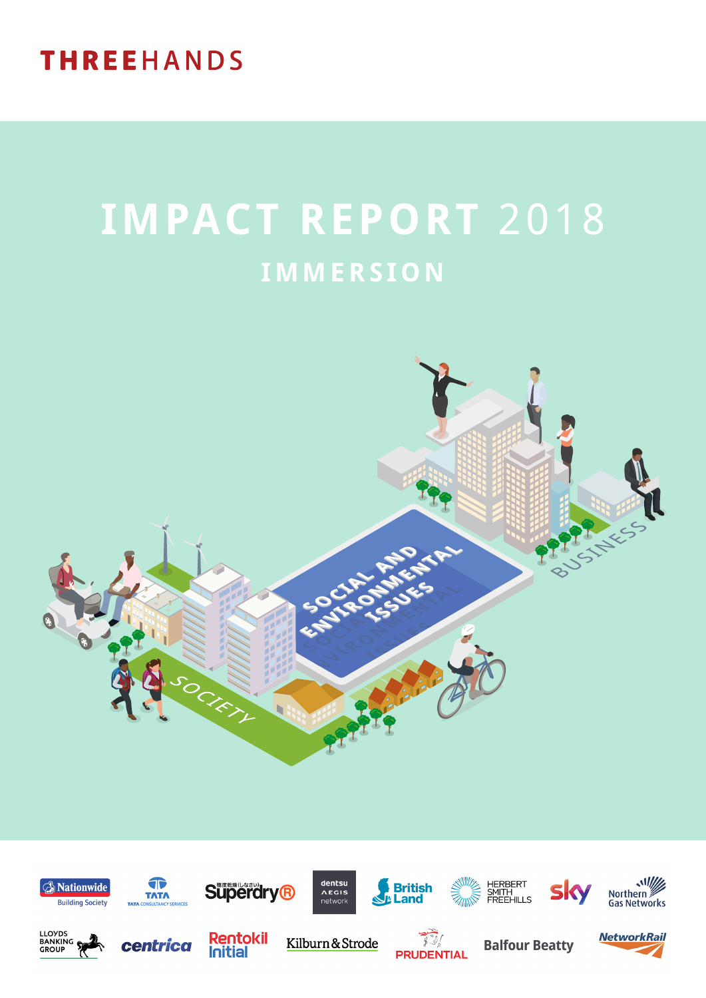## **THREEHANDS**

# **IMPACT REPORT** 2018 **IMMERSION**



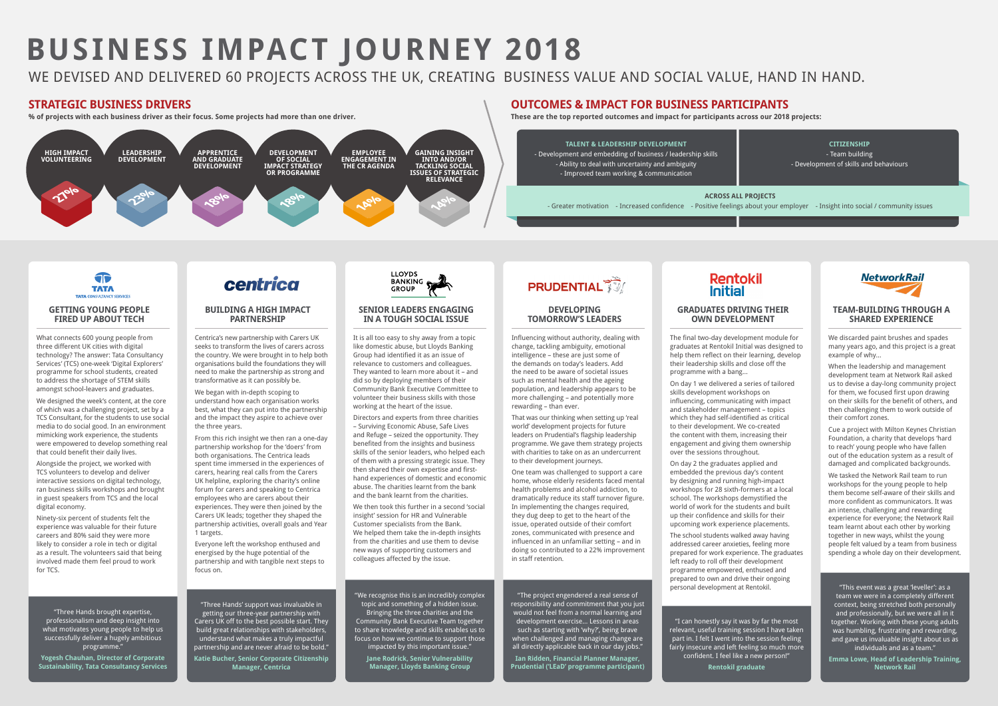# **BUSINESS IMPACT JOURNEY 2018**

## WE DEVISED AND DELIVERED 60 PROJECTS ACROSS THE UK, CREATING BUSINESS VALUE AND SOCIAL VALUE, HAND IN HAND.



What connects 600 young people from three different UK cities with digital technology? The answer: Tata Consultancy Services' (TCS) one-week 'Digital Explorers' programme for school students, created to address the shortage of STEM skills amongst school-leavers and graduates.

We designed the week's content, at the core of which was a challenging project, set by a TCS Consultant, for the students to use social media to do social good. In an environment mimicking work experience, the students were empowered to develop something real that could benefit their daily lives.

Alongside the project, we worked with TCS volunteers to develop and deliver interactive sessions on digital technology, ran business skills workshops and brought in guest speakers from TCS and the local digital economy.

Ninety-six percent of students felt the experience was valuable for their future careers and 80% said they were more likely to consider a role in tech or digital as a result. The volunteers said that being involved made them feel proud to work for TCS.

#### **GRADUATES DRIVING THEIR OWN DEVELOPMENT**

The final two-day development module for graduates at Rentokil Initial was designed to help them reflect on their learning, develop their leadership skills and close off the programme with a bang…

On day 1 we delivered a series of tailored skills development workshops on influencing, communicating with impact and stakeholder management – topics which they had self-identified as critical to their development. We co-created the content with them, increasing their engagement and giving them ownership over the sessions throughout.

On day 2 the graduates applied and embedded the previous day's content by designing and running high-impact workshops for 28 sixth-formers at a local school. The workshops demystified the world of work for the students and built up their confidence and skills for their upcoming work experience placements.

The school students walked away having addressed career anxieties, feeling more prepared for work experience. The graduates left ready to roll off their development programme empowered, enthused and prepared to own and drive their ongoing personal development at Rentokil.

#### **BUILDING A HIGH IMPACT PARTNERSHIP**

Centrica's new partnership with Carers UK seeks to transform the lives of carers across the country. We were brought in to help both organisations build the foundations they will need to make the partnership as strong and transformative as it can possibly be.

We began with in-depth scoping to understand how each organisation works best, what they can put into the partnership and the impact they aspire to achieve over the three years.

From this rich insight we then ran a one-day partnership workshop for the 'doers' from both organisations. The Centrica leads spent time immersed in the experiences of carers, hearing real calls from the Carers UK helpline, exploring the charity's online forum for carers and speaking to Centrica employees who are carers about their experiences. They were then joined by the Carers UK leads; together they shaped the partnership activities, overall goals and Year 1 targets.

Everyone left the workshop enthused and energised by the huge potential of the partnership and with tangible next steps to focus on.

### **SENIOR LEADERS ENGAGING IN A TOUGH SOCIAL ISSUE**

It is all too easy to shy away from a topic like domestic abuse, but Lloyds Banking Group had identified it as an issue of relevance to customers and colleagues. They wanted to learn more about it – and did so by deploying members of their Community Bank Executive Committee to volunteer their business skills with those working at the heart of the issue.

Directors and experts from three charities – Surviving Economic Abuse, Safe Lives and Refuge – seized the opportunity. They benefited from the insights and business skills of the senior leaders, who helped each of them with a pressing strategic issue. They then shared their own expertise and firsthand experiences of domestic and economic abuse. The charities learnt from the bank and the bank learnt from the charities.

We then took this further in a second 'social insight' session for HR and Vulnerable Customer specialists from the Bank. We helped them take the in-depth insights from the charities and use them to devise new ways of supporting customers and colleagues affected by the issue.

### **TEAM-BUILDING THROUGH A SHARED EXPERIENCE**

We discarded paint brushes and spades many years ago, and this project is a great example of why…

When the leadership and management development team at Network Rail asked us to devise a day-long community project for them, we focused first upon drawing on their skills for the benefit of others, and then challenging them to work outside of their comfort zones.

Cue a project with Milton Keynes Christian Foundation, a charity that develops 'hard to reach' young people who have fallen out of the education system as a result of damaged and complicated backgrounds.

We tasked the Network Rail team to run workshops for the young people to help them become self-aware of their skills and more confident as communicators. It was an intense, challenging and rewarding experience for everyone; the Network Rail team learnt about each other by working together in new ways, whilst the young people felt valued by a team from business spending a whole day on their development.

**% of projects with each business driver as their focus. Some projects had more than one driver. These are the top reported outcomes and impact for participants across our 2018 projects:**

#### **DEVELOPING TOMORROW'S LEADERS**

Influencing without authority, dealing with change, tackling ambiguity, emotional intelligence – these are just some of the demands on today's leaders. Add the need to be aware of societal issues such as mental health and the ageing population, and leadership appears to be more challenging – and potentially more rewarding – than ever.

That was our thinking when setting up 'real world' development projects for future leaders on Prudential's flagship leadership programme. We gave them strategy projects with charities to take on as an undercurrent to their development journeys.

One team was challenged to support a care home, whose elderly residents faced mental health problems and alcohol addiction, to dramatically reduce its staff turnover figure. In implementing the changes required, they dug deep to get to the heart of the issue, operated outside of their comfort zones, communicated with presence and influenced in an unfamiliar setting – and in doing so contributed to a 22% improvement in staff retention.

### **STRATEGIC BUSINESS DRIVERS OUTCOMES & IMPACT FOR BUSINESS PARTICIPANTS**



**TALENT & LEADERSHIP DEVELOPMENT** - Development and embedding of business / leadership skills - Ability to deal with uncertainty and ambiguity - Improved team working & communication

**CITIZENSHIP** - Team building - Development of skills and behaviours

**NetworkRail** 

#### **ACROSS ALL PROJECTS**

- Greater motivation - Increased confidence - Positive feelings about your employer - Insight into social / community issues

"Three Hands brought expertise, professionalism and deep insight into what motivates young people to help us successfully deliver a hugely ambitious programme." **Yogesh Chauhan, Director of Corporate Sustainability, Tata Consultancy Services**

## centrica

"Three Hands' support was invaluable in getting our three-year partnership with Carers UK off to the best possible start. They build great relationships with stakeholders, understand what makes a truly impactful partnership and are never afraid to be bold." **Katie Bucher, Senior Corporate Citizenship Manager, Centrica**



"This event was a great 'leveller': as a team we were in a completely different context, being stretched both personally and professionally, but we were all in it together. Working with these young adults was humbling, frustrating and rewarding, and gave us invaluable insight about us as individuals and as a team."

**Emma Lowe, Head of Leadership Training, Network Rail**

"I can honestly say it was by far the most relevant, useful training session I have taken part in. I felt I went into the session feeling fairly insecure and left feeling so much more confident. I feel like a new person!"

"The project engendered a real sense of responsibility and commitment that you just would not feel from a normal learning and development exercise… Lessons in areas such as starting with 'why?', being brave when challenged and managing change are all directly applicable back in our day jobs." **Ian Ridden, Financial Planner Manager, Prudential ('LEaD' programme participant)**

# **Rentokil**<br>Initial

"We recognise this is an incredibly complex topic and something of a hidden issue. Bringing the three charities and the Community Bank Executive Team together to share knowledge and skills enables us to focus on how we continue to support those impacted by this important issue."

**Jane Rodrick, Senior Vulnerability Manager, Lloyds Banking Group**

## **PRUDENTIAL**